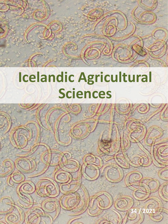# **Icelandic Agricultural Sciences**

**WARDER AND INSTRUCTION 2298-786X** 

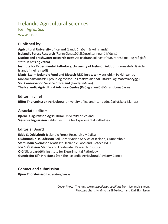### Icelandic Agricultural Sciences

Icel. Agric. Sci.

www.ias.is

#### **Published by:**

**Agricultural University of Iceland** (Landbúnaðarháskóli Íslands) **Icelandic Forest Research** (Rannsóknastöð Skógræktarinnar á Mógilsá) **Marine and Freshwater Research Institute** (Hafrannsóknastofnun, rannsókna- og ráðgjafastofnun hafs og vatna) **Institute for Experimental Pathology, University of Iceland** (Keldur, Tilraunastöð Háskóla Íslands í meinafræði) **Matís, Ltd. – Icelandic Food and Biotech R&D Institute (**Matís ohf. – Þekkingar- og rannsóknarfyrirtæki í þróun og nýsköpun í matvælaiðnaði, líftækni og matvælaöryggi) **Soil Conservation Service of Iceland** (Landgræðslan) **The Icelandic Agricultural Advisory Centre** (Ráðagjafamiðstöð Landbúnaðarins)

#### **Editor in chief**

**Björn Thorsteinsson** Agricultural University of Iceland (Landbúnaðarháskóla Íslands)

#### **Associate editors**

**Bjarni D Sigurdsson** Agricultural University of Iceland **Sigurdur Ingvarsson** Keldur, Institute for Experimental Pathology

#### **Editorial Board**

**Edda S. Oddsdóttir** Icelandic Forest Research , Mógilsá **Gudmundur Halldórsson** Soil Conservation Service of Iceland, Gunnarsholt **Sæmundur Sveinsson** Matís Ltd. Icelandic Food and Biotech B&D **Jón S. Ólafsson** Marine and Freshwater Research Institute **Ólöf Sigurdardóttir** Institute for Experimental Pathology **Gunnfríður Elín Hreiðarsdóttir** The Icelandic Agricultural Advisory Centre

#### **Contact and submission**

**Björn Thorsteinsson** at *editor@ias.is*

Cover Photo: The lung worm *Muellerius capillaris* from Icelandic sheep. Photographers: Hrafnkatla Eiríksdóttir and Karl Skírnisson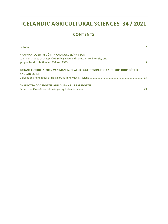## **ICELANDIC AGRICULTURAL SCIENCES 34 / 2021**

#### **CONTENTS**

| HRAFNKATLA EIRÍKSDÓTTIR AND KARL SKÍRNISSON<br>Lung nematodes of sheep (Ovis aries) in Iceland - prevalence, intensity and |  |
|----------------------------------------------------------------------------------------------------------------------------|--|
| JULIANE KUCKUK, SIBREN VAN MANEN, ÓLAFUR EGGERTSSON, EDDA SIGURDÍS ODDSDÓTTIR<br><b>AND JAN ESPER</b>                      |  |
|                                                                                                                            |  |
| CHARLOTTA ODDSDÓTTIR AND GUÐNÝ RUT PÁLSDÓTTIR                                                                              |  |